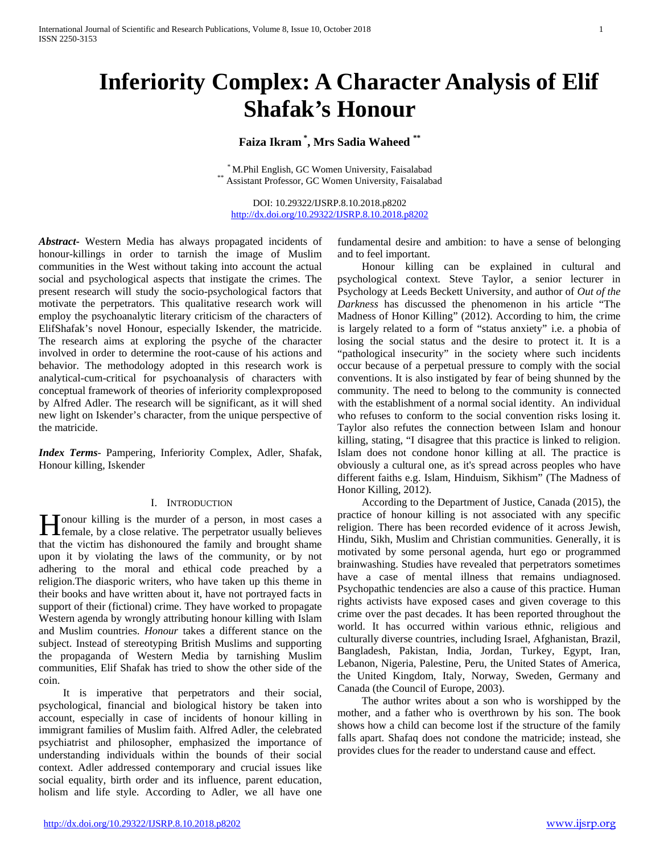# **Inferiority Complex: A Character Analysis of Elif Shafak's Honour**

# **Faiza Ikram \* , Mrs Sadia Waheed \*\***

 $^\ast$ M.Phil English, GC Women University, Faisalabad $^\ast$ Assistant Professor, GC Women University, Faisalabad

DOI: 10.29322/IJSRP.8.10.2018.p8202 <http://dx.doi.org/10.29322/IJSRP.8.10.2018.p8202>

*Abstract***-** Western Media has always propagated incidents of honour-killings in order to tarnish the image of Muslim communities in the West without taking into account the actual social and psychological aspects that instigate the crimes. The present research will study the socio-psychological factors that motivate the perpetrators. This qualitative research work will employ the psychoanalytic literary criticism of the characters of ElifShafak's novel Honour, especially Iskender, the matricide. The research aims at exploring the psyche of the character involved in order to determine the root-cause of his actions and behavior. The methodology adopted in this research work is analytical-cum-critical for psychoanalysis of characters with conceptual framework of theories of inferiority complexproposed by Alfred Adler. The research will be significant, as it will shed new light on Iskender's character, from the unique perspective of the matricide.

*Index Terms*- Pampering, Inferiority Complex, Adler, Shafak, Honour killing, Iskender

#### I. INTRODUCTION

onour killing is the murder of a person, in most cases a **female**, by a close relative. The perpetrator usually believes and the line of a line of the perpetrator usually believes that the victim has dishonoured the family and brought shame upon it by violating the laws of the community, or by not adhering to the moral and ethical code preached by a religion.The diasporic writers, who have taken up this theme in their books and have written about it, have not portrayed facts in support of their (fictional) crime. They have worked to propagate Western agenda by wrongly attributing honour killing with Islam and Muslim countries. *Honour* takes a different stance on the subject. Instead of stereotyping British Muslims and supporting the propaganda of Western Media by tarnishing Muslim communities, Elif Shafak has tried to show the other side of the coin.

 It is imperative that perpetrators and their social, psychological, financial and biological history be taken into account, especially in case of incidents of honour killing in immigrant families of Muslim faith. Alfred Adler, the celebrated psychiatrist and philosopher, emphasized the importance of understanding individuals within the bounds of their social context. Adler addressed contemporary and crucial issues like social equality, birth order and its influence, parent education, holism and life style. According to Adler, we all have one fundamental desire and ambition: to have a sense of belonging and to feel important.

 Honour killing can be explained in cultural and psychological context. Steve Taylor, a senior lecturer in Psychology at Leeds Beckett University, and author of *Out of the Darkness* has discussed the phenomenon in his article "The Madness of Honor Killing" (2012). According to him, the crime is largely related to a form of "status anxiety" i.e. a phobia of losing the social status and the desire to protect it. It is a "pathological insecurity" in the society where such incidents occur because of a perpetual pressure to comply with the social conventions. It is also instigated by fear of being shunned by the community. The need to belong to the community is connected with the establishment of a normal social identity. An individual who refuses to conform to the social convention risks losing it. Taylor also refutes the connection between Islam and honour killing, stating, "I disagree that this practice is linked to religion. Islam does not condone honor killing at all. The practice is obviously a cultural one, as it's spread across peoples who have different faiths e.g. Islam, Hinduism, Sikhism" (The Madness of Honor Killing, 2012).

 According to the Department of Justice, Canada (2015), the practice of honour killing is not associated with any specific religion. There has been recorded evidence of it across Jewish, Hindu, Sikh, Muslim and Christian communities. Generally, it is motivated by some personal agenda, hurt ego or programmed brainwashing. Studies have revealed that perpetrators sometimes have a case of mental illness that remains undiagnosed. Psychopathic tendencies are also a cause of this practice. Human rights activists have exposed cases and given coverage to this crime over the past decades. It has been reported throughout the world. It has occurred within various ethnic, religious and culturally diverse countries, including Israel, Afghanistan, Brazil, Bangladesh, Pakistan, India, Jordan, Turkey, Egypt, Iran, Lebanon, Nigeria, Palestine, Peru, the United States of America, the United Kingdom, Italy, Norway, Sweden, Germany and Canada (the Council of Europe, 2003).

 The author writes about a son who is worshipped by the mother, and a father who is overthrown by his son. The book shows how a child can become lost if the structure of the family falls apart. Shafaq does not condone the matricide; instead, she provides clues for the reader to understand cause and effect.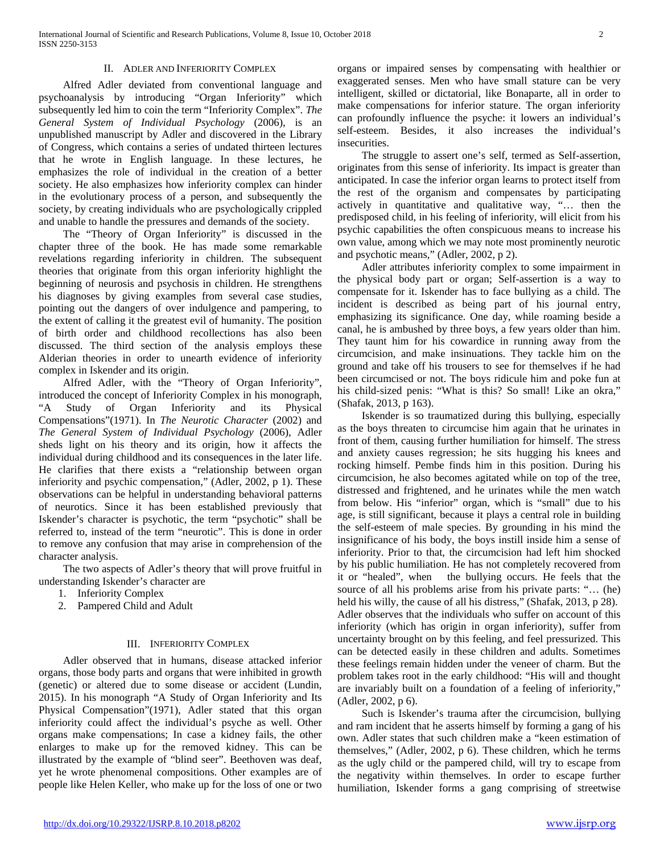#### II. ADLER AND INFERIORITY COMPLEX

 Alfred Adler deviated from conventional language and psychoanalysis by introducing "Organ Inferiority" which subsequently led him to coin the term "Inferiority Complex". *The General System of Individual Psychology* (2006), is an unpublished manuscript by Adler and discovered in the Library of Congress, which contains a series of undated thirteen lectures that he wrote in English language. In these lectures, he emphasizes the role of individual in the creation of a better society. He also emphasizes how inferiority complex can hinder in the evolutionary process of a person, and subsequently the society, by creating individuals who are psychologically crippled and unable to handle the pressures and demands of the society.

 The "Theory of Organ Inferiority" is discussed in the chapter three of the book. He has made some remarkable revelations regarding inferiority in children. The subsequent theories that originate from this organ inferiority highlight the beginning of neurosis and psychosis in children. He strengthens his diagnoses by giving examples from several case studies, pointing out the dangers of over indulgence and pampering, to the extent of calling it the greatest evil of humanity. The position of birth order and childhood recollections has also been discussed. The third section of the analysis employs these Alderian theories in order to unearth evidence of inferiority complex in Iskender and its origin.

 Alfred Adler, with the "Theory of Organ Inferiority", introduced the concept of Inferiority Complex in his monograph, "A Study of Organ Inferiority and its Physical Compensations"(1971). In *The Neurotic Character* (2002) and *The General System of Individual Psychology* (2006), Adler sheds light on his theory and its origin, how it affects the individual during childhood and its consequences in the later life. He clarifies that there exists a "relationship between organ inferiority and psychic compensation," (Adler, 2002, p 1). These observations can be helpful in understanding behavioral patterns of neurotics. Since it has been established previously that Iskender's character is psychotic, the term "psychotic" shall be referred to, instead of the term "neurotic". This is done in order to remove any confusion that may arise in comprehension of the character analysis.

 The two aspects of Adler's theory that will prove fruitful in understanding Iskender's character are

- 1. Inferiority Complex
- 2. Pampered Child and Adult

### III. INFERIORITY COMPLEX

 Adler observed that in humans, disease attacked inferior organs, those body parts and organs that were inhibited in growth (genetic) or altered due to some disease or accident (Lundin, 2015). In his monograph "A Study of Organ Inferiority and Its Physical Compensation"(1971), Adler stated that this organ inferiority could affect the individual's psyche as well. Other organs make compensations; In case a kidney fails, the other enlarges to make up for the removed kidney. This can be illustrated by the example of "blind seer". Beethoven was deaf, yet he wrote phenomenal compositions. Other examples are of people like Helen Keller, who make up for the loss of one or two organs or impaired senses by compensating with healthier or exaggerated senses. Men who have small stature can be very intelligent, skilled or dictatorial, like Bonaparte, all in order to make compensations for inferior stature. The organ inferiority can profoundly influence the psyche: it lowers an individual's self-esteem. Besides, it also increases the individual's insecurities.

 The struggle to assert one's self, termed as Self-assertion, originates from this sense of inferiority. Its impact is greater than anticipated. In case the inferior organ learns to protect itself from the rest of the organism and compensates by participating actively in quantitative and qualitative way, "… then the predisposed child, in his feeling of inferiority, will elicit from his psychic capabilities the often conspicuous means to increase his own value, among which we may note most prominently neurotic and psychotic means," (Adler, 2002, p 2).

 Adler attributes inferiority complex to some impairment in the physical body part or organ; Self-assertion is a way to compensate for it. Iskender has to face bullying as a child. The incident is described as being part of his journal entry, emphasizing its significance. One day, while roaming beside a canal, he is ambushed by three boys, a few years older than him. They taunt him for his cowardice in running away from the circumcision, and make insinuations. They tackle him on the ground and take off his trousers to see for themselves if he had been circumcised or not. The boys ridicule him and poke fun at his child-sized penis: "What is this? So small! Like an okra," (Shafak, 2013, p 163).

 Iskender is so traumatized during this bullying, especially as the boys threaten to circumcise him again that he urinates in front of them, causing further humiliation for himself. The stress and anxiety causes regression; he sits hugging his knees and rocking himself. Pembe finds him in this position. During his circumcision, he also becomes agitated while on top of the tree, distressed and frightened, and he urinates while the men watch from below. His "inferior" organ, which is "small" due to his age, is still significant, because it plays a central role in building the self-esteem of male species. By grounding in his mind the insignificance of his body, the boys instill inside him a sense of inferiority. Prior to that, the circumcision had left him shocked by his public humiliation. He has not completely recovered from it or "healed", when the bullying occurs. He feels that the source of all his problems arise from his private parts: "… (he) held his willy, the cause of all his distress," (Shafak, 2013, p 28). Adler observes that the individuals who suffer on account of this inferiority (which has origin in organ inferiority), suffer from uncertainty brought on by this feeling, and feel pressurized. This can be detected easily in these children and adults. Sometimes these feelings remain hidden under the veneer of charm. But the problem takes root in the early childhood: "His will and thought are invariably built on a foundation of a feeling of inferiority," (Adler, 2002, p 6).

 Such is Iskender's trauma after the circumcision, bullying and ram incident that he asserts himself by forming a gang of his own. Adler states that such children make a "keen estimation of themselves," (Adler, 2002, p 6). These children, which he terms as the ugly child or the pampered child, will try to escape from the negativity within themselves. In order to escape further humiliation, Iskender forms a gang comprising of streetwise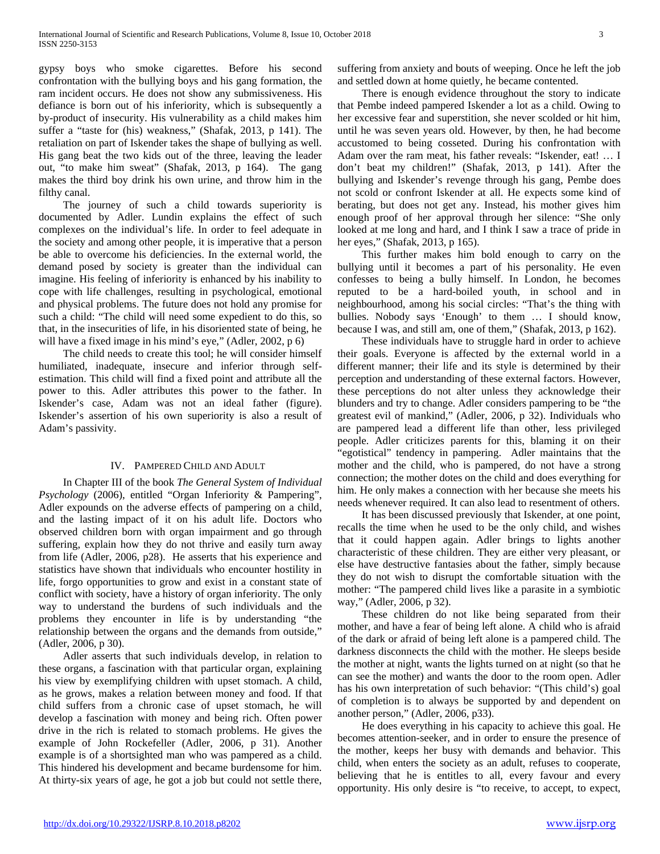gypsy boys who smoke cigarettes. Before his second confrontation with the bullying boys and his gang formation, the ram incident occurs. He does not show any submissiveness. His defiance is born out of his inferiority, which is subsequently a by-product of insecurity. His vulnerability as a child makes him suffer a "taste for (his) weakness," (Shafak, 2013, p 141). The retaliation on part of Iskender takes the shape of bullying as well. His gang beat the two kids out of the three, leaving the leader out, "to make him sweat" (Shafak, 2013, p 164). The gang makes the third boy drink his own urine, and throw him in the filthy canal.

 The journey of such a child towards superiority is documented by Adler. Lundin explains the effect of such complexes on the individual's life. In order to feel adequate in the society and among other people, it is imperative that a person be able to overcome his deficiencies. In the external world, the demand posed by society is greater than the individual can imagine. His feeling of inferiority is enhanced by his inability to cope with life challenges, resulting in psychological, emotional and physical problems. The future does not hold any promise for such a child: "The child will need some expedient to do this, so that, in the insecurities of life, in his disoriented state of being, he will have a fixed image in his mind's eye," (Adler, 2002, p 6)

 The child needs to create this tool; he will consider himself humiliated, inadequate, insecure and inferior through selfestimation. This child will find a fixed point and attribute all the power to this. Adler attributes this power to the father. In Iskender's case, Adam was not an ideal father (figure). Iskender's assertion of his own superiority is also a result of Adam's passivity.

## IV. PAMPERED CHILD AND ADULT

 In Chapter III of the book *The General System of Individual Psychology* (2006), entitled "Organ Inferiority & Pampering", Adler expounds on the adverse effects of pampering on a child, and the lasting impact of it on his adult life. Doctors who observed children born with organ impairment and go through suffering, explain how they do not thrive and easily turn away from life (Adler, 2006, p28). He asserts that his experience and statistics have shown that individuals who encounter hostility in life, forgo opportunities to grow and exist in a constant state of conflict with society, have a history of organ inferiority. The only way to understand the burdens of such individuals and the problems they encounter in life is by understanding "the relationship between the organs and the demands from outside," (Adler, 2006, p 30).

 Adler asserts that such individuals develop, in relation to these organs, a fascination with that particular organ, explaining his view by exemplifying children with upset stomach. A child, as he grows, makes a relation between money and food. If that child suffers from a chronic case of upset stomach, he will develop a fascination with money and being rich. Often power drive in the rich is related to stomach problems. He gives the example of John Rockefeller (Adler, 2006, p 31). Another example is of a shortsighted man who was pampered as a child. This hindered his development and became burdensome for him. At thirty-six years of age, he got a job but could not settle there,

suffering from anxiety and bouts of weeping. Once he left the job and settled down at home quietly, he became contented.

 There is enough evidence throughout the story to indicate that Pembe indeed pampered Iskender a lot as a child. Owing to her excessive fear and superstition, she never scolded or hit him, until he was seven years old. However, by then, he had become accustomed to being cosseted. During his confrontation with Adam over the ram meat, his father reveals: "Iskender, eat! … I don't beat my children!" (Shafak, 2013, p 141). After the bullying and Iskender's revenge through his gang, Pembe does not scold or confront Iskender at all. He expects some kind of berating, but does not get any. Instead, his mother gives him enough proof of her approval through her silence: "She only looked at me long and hard, and I think I saw a trace of pride in her eyes," (Shafak, 2013, p 165).

 This further makes him bold enough to carry on the bullying until it becomes a part of his personality. He even confesses to being a bully himself. In London, he becomes reputed to be a hard-boiled youth, in school and in neighbourhood, among his social circles: "That's the thing with bullies. Nobody says 'Enough' to them … I should know, because I was, and still am, one of them," (Shafak, 2013, p 162).

 These individuals have to struggle hard in order to achieve their goals. Everyone is affected by the external world in a different manner; their life and its style is determined by their perception and understanding of these external factors. However, these perceptions do not alter unless they acknowledge their blunders and try to change. Adler considers pampering to be "the greatest evil of mankind," (Adler, 2006, p 32). Individuals who are pampered lead a different life than other, less privileged people. Adler criticizes parents for this, blaming it on their "egotistical" tendency in pampering. Adler maintains that the mother and the child, who is pampered, do not have a strong connection; the mother dotes on the child and does everything for him. He only makes a connection with her because she meets his needs whenever required. It can also lead to resentment of others.

 It has been discussed previously that Iskender, at one point, recalls the time when he used to be the only child, and wishes that it could happen again. Adler brings to lights another characteristic of these children. They are either very pleasant, or else have destructive fantasies about the father, simply because they do not wish to disrupt the comfortable situation with the mother: "The pampered child lives like a parasite in a symbiotic way," (Adler, 2006, p 32).

 These children do not like being separated from their mother, and have a fear of being left alone. A child who is afraid of the dark or afraid of being left alone is a pampered child. The darkness disconnects the child with the mother. He sleeps beside the mother at night, wants the lights turned on at night (so that he can see the mother) and wants the door to the room open. Adler has his own interpretation of such behavior: "(This child's) goal of completion is to always be supported by and dependent on another person," (Adler, 2006, p33).

 He does everything in his capacity to achieve this goal. He becomes attention-seeker, and in order to ensure the presence of the mother, keeps her busy with demands and behavior. This child, when enters the society as an adult, refuses to cooperate, believing that he is entitles to all, every favour and every opportunity. His only desire is "to receive, to accept, to expect,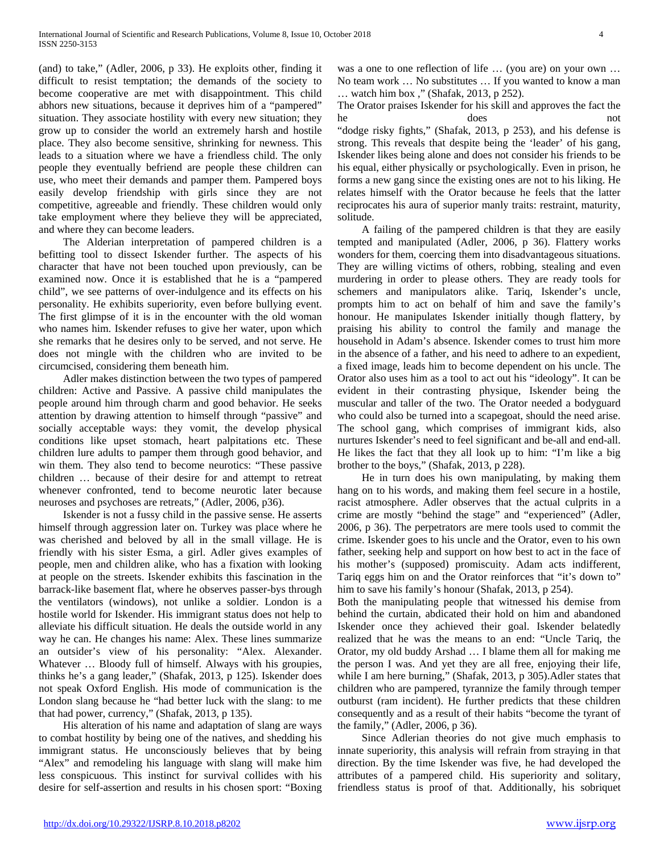(and) to take," (Adler, 2006, p 33). He exploits other, finding it difficult to resist temptation; the demands of the society to become cooperative are met with disappointment. This child abhors new situations, because it deprives him of a "pampered" situation. They associate hostility with every new situation; they grow up to consider the world an extremely harsh and hostile place. They also become sensitive, shrinking for newness. This leads to a situation where we have a friendless child. The only people they eventually befriend are people these children can use, who meet their demands and pamper them. Pampered boys easily develop friendship with girls since they are not competitive, agreeable and friendly. These children would only take employment where they believe they will be appreciated, and where they can become leaders.

 The Alderian interpretation of pampered children is a befitting tool to dissect Iskender further. The aspects of his character that have not been touched upon previously, can be examined now. Once it is established that he is a "pampered child", we see patterns of over-indulgence and its effects on his personality. He exhibits superiority, even before bullying event. The first glimpse of it is in the encounter with the old woman who names him. Iskender refuses to give her water, upon which she remarks that he desires only to be served, and not serve. He does not mingle with the children who are invited to be circumcised, considering them beneath him.

 Adler makes distinction between the two types of pampered children: Active and Passive. A passive child manipulates the people around him through charm and good behavior. He seeks attention by drawing attention to himself through "passive" and socially acceptable ways: they vomit, the develop physical conditions like upset stomach, heart palpitations etc. These children lure adults to pamper them through good behavior, and win them. They also tend to become neurotics: "These passive children … because of their desire for and attempt to retreat whenever confronted, tend to become neurotic later because neuroses and psychoses are retreats," (Adler, 2006, p36).

 Iskender is not a fussy child in the passive sense. He asserts himself through aggression later on. Turkey was place where he was cherished and beloved by all in the small village. He is friendly with his sister Esma, a girl. Adler gives examples of people, men and children alike, who has a fixation with looking at people on the streets. Iskender exhibits this fascination in the barrack-like basement flat, where he observes passer-bys through the ventilators (windows), not unlike a soldier. London is a hostile world for Iskender. His immigrant status does not help to alleviate his difficult situation. He deals the outside world in any way he can. He changes his name: Alex. These lines summarize an outsider's view of his personality: "Alex. Alexander. Whatever … Bloody full of himself. Always with his groupies, thinks he's a gang leader," (Shafak, 2013, p 125). Iskender does not speak Oxford English. His mode of communication is the London slang because he "had better luck with the slang: to me that had power, currency," (Shafak, 2013, p 135).

 His alteration of his name and adaptation of slang are ways to combat hostility by being one of the natives, and shedding his immigrant status. He unconsciously believes that by being "Alex" and remodeling his language with slang will make him less conspicuous. This instinct for survival collides with his desire for self-assertion and results in his chosen sport: "Boxing

was a one to one reflection of life … (you are) on your own … No team work … No substitutes … If you wanted to know a man … watch him box ," (Shafak, 2013, p 252).

The Orator praises Iskender for his skill and approves the fact the he does not

"dodge risky fights," (Shafak, 2013, p 253), and his defense is strong. This reveals that despite being the 'leader' of his gang, Iskender likes being alone and does not consider his friends to be his equal, either physically or psychologically. Even in prison, he forms a new gang since the existing ones are not to his liking. He relates himself with the Orator because he feels that the latter reciprocates his aura of superior manly traits: restraint, maturity, solitude.

 A failing of the pampered children is that they are easily tempted and manipulated (Adler, 2006, p 36). Flattery works wonders for them, coercing them into disadvantageous situations. They are willing victims of others, robbing, stealing and even murdering in order to please others. They are ready tools for schemers and manipulators alike. Tariq, Iskender's uncle, prompts him to act on behalf of him and save the family's honour. He manipulates Iskender initially though flattery, by praising his ability to control the family and manage the household in Adam's absence. Iskender comes to trust him more in the absence of a father, and his need to adhere to an expedient, a fixed image, leads him to become dependent on his uncle. The Orator also uses him as a tool to act out his "ideology". It can be evident in their contrasting physique, Iskender being the muscular and taller of the two. The Orator needed a bodyguard who could also be turned into a scapegoat, should the need arise. The school gang, which comprises of immigrant kids, also nurtures Iskender's need to feel significant and be-all and end-all. He likes the fact that they all look up to him: "I'm like a big brother to the boys," (Shafak, 2013, p 228).

 He in turn does his own manipulating, by making them hang on to his words, and making them feel secure in a hostile, racist atmosphere. Adler observes that the actual culprits in a crime are mostly "behind the stage" and "experienced" (Adler, 2006, p 36). The perpetrators are mere tools used to commit the crime. Iskender goes to his uncle and the Orator, even to his own father, seeking help and support on how best to act in the face of his mother's (supposed) promiscuity. Adam acts indifferent, Tariq eggs him on and the Orator reinforces that "it's down to" him to save his family's honour (Shafak, 2013, p 254).

Both the manipulating people that witnessed his demise from behind the curtain, abdicated their hold on him and abandoned Iskender once they achieved their goal. Iskender belatedly realized that he was the means to an end: "Uncle Tariq, the Orator, my old buddy Arshad … I blame them all for making me the person I was. And yet they are all free, enjoying their life, while I am here burning," (Shafak, 2013, p 305). Adler states that children who are pampered, tyrannize the family through temper outburst (ram incident). He further predicts that these children consequently and as a result of their habits "become the tyrant of the family," (Adler, 2006, p 36).

 Since Adlerian theories do not give much emphasis to innate superiority, this analysis will refrain from straying in that direction. By the time Iskender was five, he had developed the attributes of a pampered child. His superiority and solitary, friendless status is proof of that. Additionally, his sobriquet